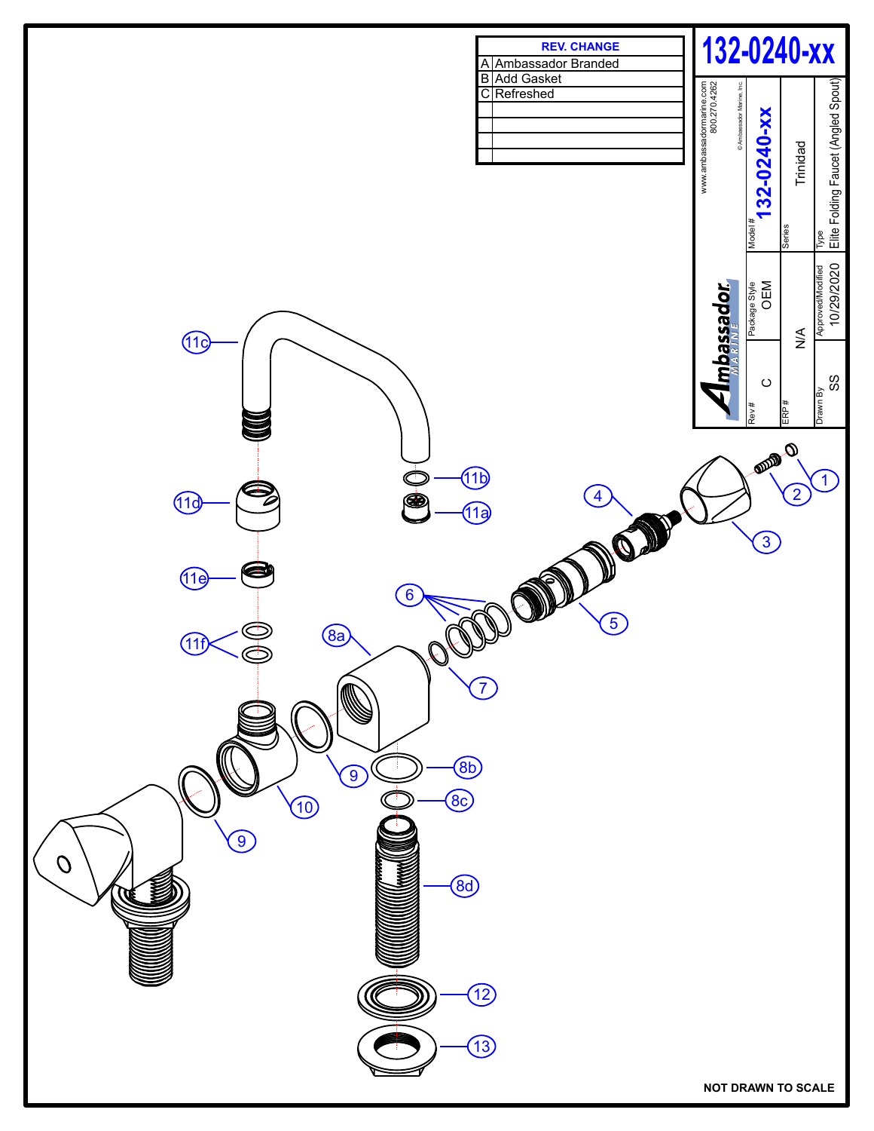